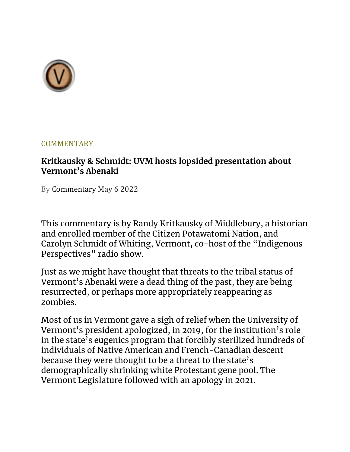

#### **COMMENTARY**

### **Kritkausky & Schmidt: UVM hosts lopsided presentation about Vermont's Abenaki**

By Commentary May 6 2022

This commentary is by Randy Kritkausky of Middlebury, a historian and enrolled member of the Citizen Potawatomi Nation, and Carolyn Schmidt of Whiting, Vermont, co-host of the "Indigenous Perspectives" radio show.

Just as we might have thought that threats to the tribal status of Vermont's Abenaki were a dead thing of the past, they are being resurrected, or perhaps more appropriately reappearing as zombies.

Most of us in Vermont gave a sigh of relief when the University of Vermont's president apologized, in 2019, for the institution's role in the state's eugenics program that forcibly sterilized hundreds of individuals of Native American and French-Canadian descent because they were thought to be a threat to the state's demographically shrinking white Protestant gene pool. The Vermont Legislature followed with an apology in 2021.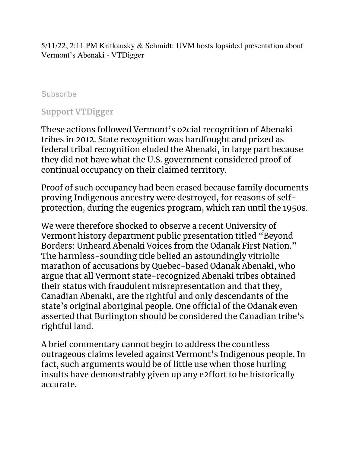5/11/22, 2:11 PM Kritkausky & Schmidt: UVM hosts lopsided presentation about Vermont's Abenaki - VTDigger

#### **Subscribe**

#### **Support VTDigger**

These actions followed Vermont's o2cial recognition of Abenaki tribes in 2012. State recognition was hardfought and prized as federal tribal recognition eluded the Abenaki, in large part because they did not have what the U.S. government considered proof of continual occupancy on their claimed territory.

Proof of such occupancy had been erased because family documents proving Indigenous ancestry were destroyed, for reasons of selfprotection, during the eugenics program, which ran until the 1950s.

We were therefore shocked to observe a recent University of Vermont history department public presentation titled "Beyond Borders: Unheard Abenaki Voices from the Odanak First Nation." The harmless-sounding title belied an astoundingly vitriolic marathon of accusations by Quebec-based Odanak Abenaki, who argue that all Vermont state-recognized Abenaki tribes obtained their status with fraudulent misrepresentation and that they, Canadian Abenaki, are the rightful and only descendants of the state's original aboriginal people. One official of the Odanak even asserted that Burlington should be considered the Canadian tribe's rightful land.

A brief commentary cannot begin to address the countless outrageous claims leveled against Vermont's Indigenous people. In fact, such arguments would be of little use when those hurling insults have demonstrably given up any e2ffort to be historically accurate.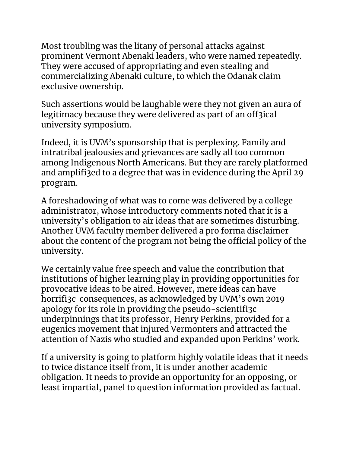Most troubling was the litany of personal attacks against prominent Vermont Abenaki leaders, who were named repeatedly. They were accused of appropriating and even stealing and commercializing Abenaki culture, to which the Odanak claim exclusive ownership.

Such assertions would be laughable were they not given an aura of legitimacy because they were delivered as part of an off3ical university symposium.

Indeed, it is UVM's sponsorship that is perplexing. Family and intratribal jealousies and grievances are sadly all too common among Indigenous North Americans. But they are rarely platformed and amplifi3ed to a degree that was in evidence during the April 29 program.

A foreshadowing of what was to come was delivered by a college administrator, whose introductory comments noted that it is a university's obligation to air ideas that are sometimes disturbing. Another UVM faculty member delivered a pro forma disclaimer about the content of the program not being the official policy of the university.

We certainly value free speech and value the contribution that institutions of higher learning play in providing opportunities for provocative ideas to be aired. However, mere ideas can have horrifi3c consequences, as acknowledged by UVM's own 2019 apology for its role in providing the pseudo-scientifi3c underpinnings that its professor, Henry Perkins, provided for a eugenics movement that injured Vermonters and attracted the attention of Nazis who studied and expanded upon Perkins' work.

If a university is going to platform highly volatile ideas that it needs to twice distance itself from, it is under another academic obligation. It needs to provide an opportunity for an opposing, or least impartial, panel to question information provided as factual.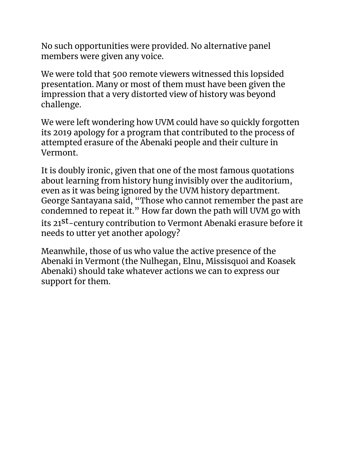No such opportunities were provided. No alternative panel members were given any voice.

We were told that 500 remote viewers witnessed this lopsided presentation. Many or most of them must have been given the impression that a very distorted view of history was beyond challenge.

We were left wondering how UVM could have so quickly forgotten its 2019 apology for a program that contributed to the process of attempted erasure of the Abenaki people and their culture in Vermont.

It is doubly ironic, given that one of the most famous quotations about learning from history hung invisibly over the auditorium, even as it was being ignored by the UVM history department. George Santayana said, "Those who cannot remember the past are condemned to repeat it." How far down the path will UVM go with its 21st-century contribution to Vermont Abenaki erasure before it needs to utter yet another apology?

Meanwhile, those of us who value the active presence of the Abenaki in Vermont (the Nulhegan, Elnu, Missisquoi and Koasek Abenaki) should take whatever actions we can to express our support for them.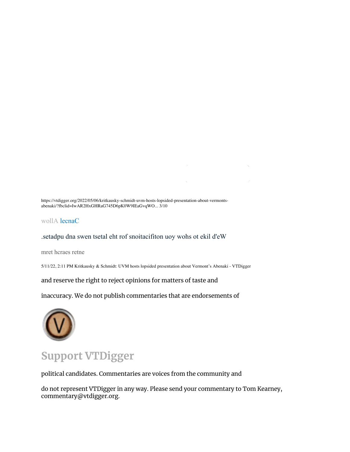https://vtdigger.org/2022/05/06/kritkausky-schmidt-uvm-hosts-lopsided-presentation-about-vermontsabenaki/?fbclid=IwAR2HxGHRaG745D6pK0W9IEaGvqWO... 3/10

wollA lecnaC

#### .setadpu dna swen tsetal eht rof snoitacifiton uoy wohs ot ekil d'eW

mret hcraes retne

5/11/22, 2:11 PM Kritkausky & Schmidt: UVM hosts lopsided presentation about Vermont's Abenaki - VTDigger

and reserve the right to reject opinions for matters of taste and

inaccuracy. We do not publish commentaries that are endorsements of



## **Support VTDigger**

political candidates. Commentaries are voices from the community and

do not represent VTDigger in any way. Please send your commentary to Tom Kearney, commentary@vtdigger.org.